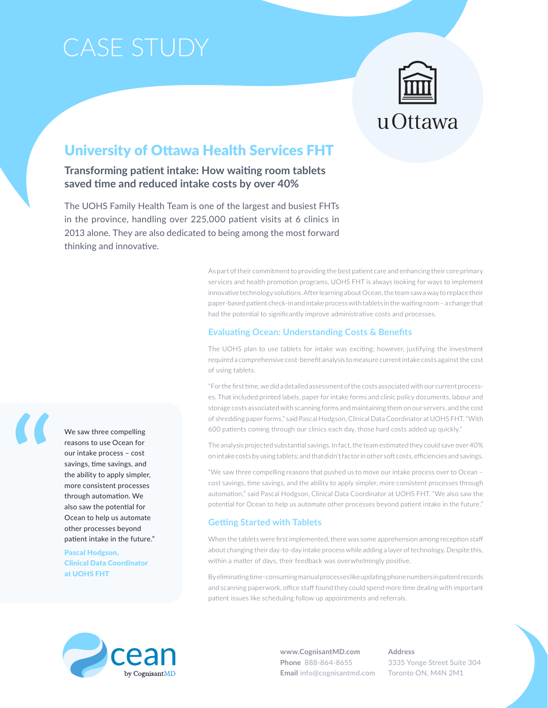# Case Study



# University of Ottawa Health Services FHT

**Transforming patient intake: How waiting room tablets saved time and reduced intake costs by over 40%**

The UOHS Family Health Team is one of the largest and busiest FHTs in the province, handling over 225,000 patient visits at 6 clinics in 2013 alone. They are also dedicated to being among the most forward thinking and innovative.

> As part of their commitment to providing the best patient care and enhancing their core primary services and health promotion programs, UOHS FHT is always looking for ways to implement innovative technology solutions. After learning about Ocean, the team saw a way to replace their paper-based patient check-in and intake process with tablets in the waiting room – a change that had the potential to significantly improve administrative costs and processes.

### **Evaluating Ocean: Understanding Costs & Benefits**

The UOHS plan to use tablets for intake was exciting; however, justifying the investment required a comprehensive cost-benefit analysis to measure current intake costs against the cost of using tablets.

"For the first time, we did a detailed assessment of the costs associated with our current processes. That included printed labels, paper for intake forms and clinic policy documents, labour and storage costs associated with scanning forms and maintaining them on our servers, and the cost of shredding paper forms," said Pascal Hodgson, Clinical Data Coordinator at UOHS FHT. "With 600 patients coming through our clinics each day, those hard costs added up quickly."

The analysis projected substantial savings. In fact, the team estimated they could save over 40% on intake costs by using tablets; and that didn't factor in other soft costs, efficiencies and savings.

"We saw three compelling reasons that pushed us to move our intake process over to Ocean – cost savings, time savings, and the ability to apply simpler, more consistent processes through automation," said Pascal Hodgson, Clinical Data Coordinator at UOHS FHT. "We also saw the potential for Ocean to help us automate other processes beyond patient intake in the future."

### **Getting Started with Tablets**

When the tablets were first implemented, there was some apprehension among reception staff about changing their day-to-day intake process while adding a layer of technology. Despite this, within a matter of days, their feedback was overwhelmingly positive.

By eliminating time-consuming manual processes like updating phone numbers in patient records and scanning paperwork, office staff found they could spend more time dealing with important patient issues like scheduling follow up appointments and referrals.



**www.CognisantMD.com Phone** 888-864-8655 **Email** info@cognisantmd.com **Address** 3335 Yonge Street Suite 304 Toronto ON, M4N 2M1



Pascal Hodgson, Clinical Data Coordinator at UOHS FHT